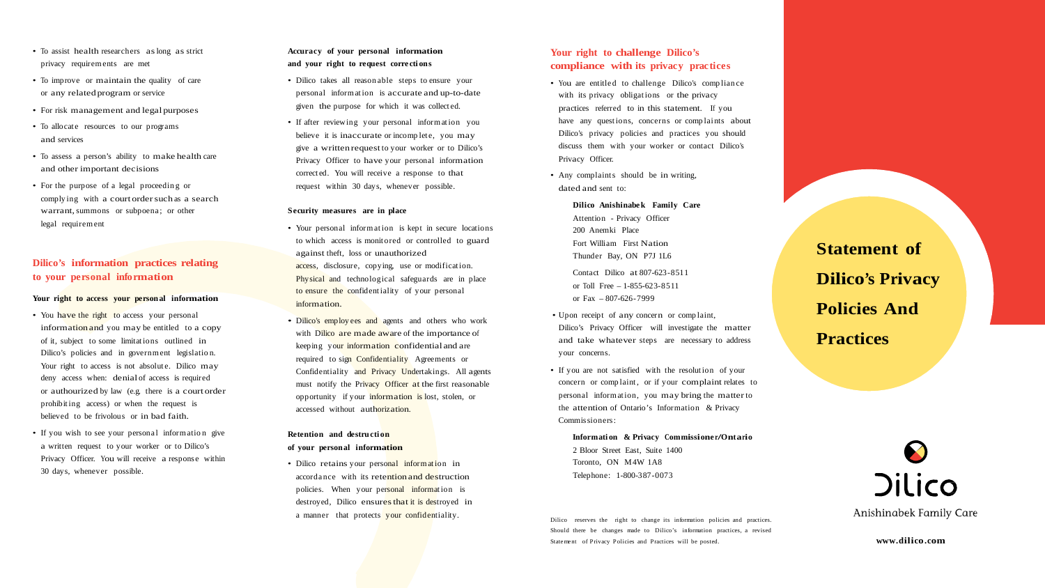- To assist health researchers aslong as strict privacy requirem ents are met
- To improve or maintain the quality of care or any relatedprogram or service
- For risk management and legal purposes
- To allocate resources to our programs and services
- To assess a person's ability to make health care and other important decisions
- For the purpose of a legal proceedin g or complying with a court order such as a search warrant, summons or subpoena; or other legal requirem ent

# **Dilico's information practices relating to your personal information**

#### **Your right to access your personal information**

- You have the right to access your personal information and you may be entitled to a copy of it, subject to some limitations outlined in Dilico's policies and in government legislation. Your right to access is not absolute. Dilico may deny access when: denial of access is required or authourized by law (e.g. there is a court order prohibit ing access) or when the request is believed to be frivolous or in bad faith.
- If you wish to see your personal information give a written request to your worker or to Dilico's Privacy Officer. You will receive a response within 30 days, whenever possible.

### **Accuracy of your personal information and your right to request corre cti ons**

- Dilico takes all reason able steps to ensure your personal inform at ion is accurate and up-to-date given the purpose for which it was collect ed.
- If after reviewing your personal information you believe it is inaccurate or incomplete, you may give a written requestto your worker or to Dilico's Privacy Officer to have your personal information correct ed. You will receive a response to that request within 30 days, whenever possible.
- You are entitled to challenge Dilico's compliance with its privacy obligations or the privacy practices referred to in this statement. If you have any questions, concerns or complaints about Dilico's privacy policies and practices you should discuss them with your worker or contact Dilico's Privacy Officer.
- Any complaints should be in writing, dated and sent to:

#### **Security measures are in place**

- Your personal information is kept in secure locations to which access is monit ored or controlled to guard against theft, loss or unauthorized access, disclosure, copying, use or modification. Physical and technological safeguards are in place to ensure the confident iality of your personal information.
- Dilico's employees and agents and others who work with Dilico are made aware of the importance of keeping your information confidential and are required to sign Confidentiality Agreements or Confidentiality and Privacy Undertakings. All agents must notify the Privacy Officer at the first reasonable opportunity if your information is lost, stolen, or accessed without authorization.

### **Retention and destructi on of your personal information**

• Dilico retains your personal information in accordance with its retention and destruction policies. When your personal information is destroyed, Dilico ensures that it is destroyed in a manner that protects your confidentiality.

## **Your right to challenge Dilico's compliance with its privacy practices**

**Dilico Anishinabe k Family Care** Attention - Privacy Officer 200 Anemki Place Fort William First Nation Thunder Bay, ON P7J 1L6

Contact Dilico at 807-623-8511 or Toll Free – 1-855-623-8511 or Fax – 807-626-7999

- Upon receipt of any concern or comp laint, Dilico's Privacy Officer will investigate the matter and take whatever steps are necessary to address your concerns.
- If you are not satisfied with the resolution of your concern or complaint, or if your complaint relates to personal inform at ion, you may bring the matterto the attention of Ontario's Information & Privacy Commissioners:

**Informati on & Privacy Commissione r/Ontario** 2 Bloor Street East, Suite 1400 Toronto, ON M4W 1A8 Telephone: 1-800-387-0073

Dilico reserves the right to change its information policies and practices. Should there be changes made to Dilico's information practices, a revised Statement of Privacy Policies and Practices will be posted.

**Statement of Dilico's Privacy Policies And Practices**



Anishinabek Family Care

**[www.dilico.com](http://www.dilico.com/)**